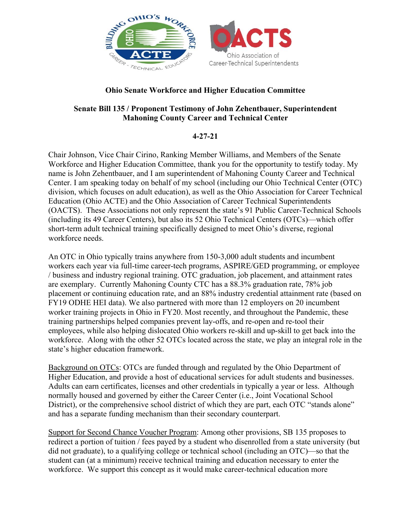

## **Ohio Senate Workforce and Higher Education Committee**

## **Senate Bill 135 / Proponent Testimony of John Zehentbauer, Superintendent Mahoning County Career and Technical Center**

## **4-27-21**

Chair Johnson, Vice Chair Cirino, Ranking Member Williams, and Members of the Senate Workforce and Higher Education Committee, thank you for the opportunity to testify today. My name is John Zehentbauer, and I am superintendent of Mahoning County Career and Technical Center. I am speaking today on behalf of my school (including our Ohio Technical Center (OTC) division, which focuses on adult education), as well as the Ohio Association for Career Technical Education (Ohio ACTE) and the Ohio Association of Career Technical Superintendents (OACTS). These Associations not only represent the state's 91 Public Career-Technical Schools (including its 49 Career Centers), but also its 52 Ohio Technical Centers (OTCs)—which offer short-term adult technical training specifically designed to meet Ohio's diverse, regional workforce needs.

An OTC in Ohio typically trains anywhere from 150-3,000 adult students and incumbent workers each year via full-time career-tech programs, ASPIRE/GED programming, or employee / business and industry regional training. OTC graduation, job placement, and attainment rates are exemplary. Currently Mahoning County CTC has a 88.3% graduation rate, 78% job placement or continuing education rate, and an 88% industry credential attainment rate (based on FY19 ODHE HEI data). We also partnered with more than 12 employers on 20 incumbent worker training projects in Ohio in FY20. Most recently, and throughout the Pandemic, these training partnerships helped companies prevent lay-offs, and re-open and re-tool their employees, while also helping dislocated Ohio workers re-skill and up-skill to get back into the workforce. Along with the other 52 OTCs located across the state, we play an integral role in the state's higher education framework.

Background on OTCs: OTCs are funded through and regulated by the Ohio Department of Higher Education, and provide a host of educational services for adult students and businesses. Adults can earn certificates, licenses and other credentials in typically a year or less. Although normally housed and governed by either the Career Center (i.e., Joint Vocational School District), or the comprehensive school district of which they are part, each OTC "stands alone" and has a separate funding mechanism than their secondary counterpart.

Support for Second Chance Voucher Program: Among other provisions, SB 135 proposes to redirect a portion of tuition / fees payed by a student who disenrolled from a state university (but did not graduate), to a qualifying college or technical school (including an OTC)—so that the student can (at a minimum) receive technical training and education necessary to enter the workforce. We support this concept as it would make career-technical education more